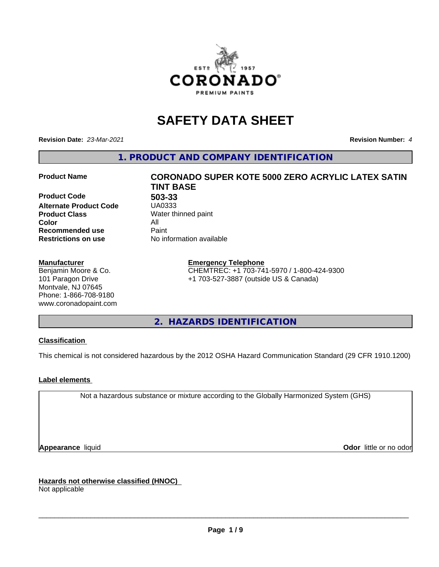

# **SAFETY DATA SHEET**

**Revision Date:** *23-Mar-2021* **Revision Number:** *4*

**1. PRODUCT AND COMPANY IDENTIFICATION**

**Product Code 503-33 Alternate Product Code Product Class** Water thinned paint<br> **Color** All **Color** All **Recommended use Caint Restrictions on use** No information available

#### **Manufacturer**

Benjamin Moore & Co. 101 Paragon Drive Montvale, NJ 07645 Phone: 1-866-708-9180 www.coronadopaint.com

# **Product Name CORONADO SUPER KOTE 5000 ZERO ACRYLIC LATEX SATIN TINT BASE**

**Emergency Telephone** CHEMTREC: +1 703-741-5970 / 1-800-424-9300 +1 703-527-3887 (outside US & Canada)

**2. HAZARDS IDENTIFICATION**

### **Classification**

This chemical is not considered hazardous by the 2012 OSHA Hazard Communication Standard (29 CFR 1910.1200)

### **Label elements**

Not a hazardous substance or mixture according to the Globally Harmonized System (GHS)

**Appearance** liquid **Contract Contract Contract Contract Contract Contract Contract Contract Contract Contract Contract Contract Contract Contract Contract Contract Contract Contract Contract Contract Contract Contract Con** 

**Hazards not otherwise classified (HNOC)**

Not applicable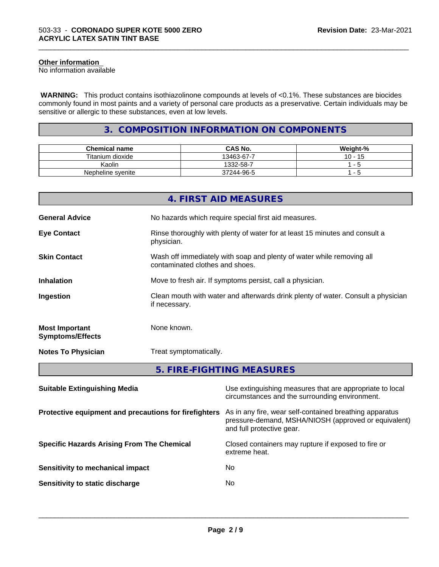#### **Other information**

No information available

 **WARNING:** This product contains isothiazolinone compounds at levels of <0.1%. These substances are biocides commonly found in most paints and a variety of personal care products as a preservative. Certain individuals may be sensitive or allergic to these substances, even at low levels.

\_\_\_\_\_\_\_\_\_\_\_\_\_\_\_\_\_\_\_\_\_\_\_\_\_\_\_\_\_\_\_\_\_\_\_\_\_\_\_\_\_\_\_\_\_\_\_\_\_\_\_\_\_\_\_\_\_\_\_\_\_\_\_\_\_\_\_\_\_\_\_\_\_\_\_\_\_\_\_\_\_\_\_\_\_\_\_\_\_\_\_\_\_

# **3. COMPOSITION INFORMATION ON COMPONENTS**

| <b>Chemical name</b> | <b>CAS No.</b> | Weight-% |
|----------------------|----------------|----------|
| Titanium dioxide     | 13463-67-7     | 10<br>AC |
| Kaolin               | 1332-58-7      |          |
| Nepheline syenite    | 37244-96-5     | $\sim$   |

|                                                  | 4. FIRST AID MEASURES                                                                                         |  |
|--------------------------------------------------|---------------------------------------------------------------------------------------------------------------|--|
| <b>General Advice</b>                            | No hazards which require special first aid measures.                                                          |  |
| <b>Eye Contact</b>                               | Rinse thoroughly with plenty of water for at least 15 minutes and consult a<br>physician.                     |  |
| <b>Skin Contact</b>                              | Wash off immediately with soap and plenty of water while removing all<br>contaminated clothes and shoes.      |  |
| <b>Inhalation</b>                                | Move to fresh air. If symptoms persist, call a physician.                                                     |  |
| Ingestion                                        | Clean mouth with water and afterwards drink plenty of water. Consult a physician<br>if necessary.             |  |
| <b>Most Important</b><br><b>Symptoms/Effects</b> | None known.                                                                                                   |  |
| <b>Notes To Physician</b>                        | Treat symptomatically.                                                                                        |  |
|                                                  | 5. FIRE-FIGHTING MEASURES                                                                                     |  |
| <b>Suitable Extinguishing Media</b>              | Use extinguishing measures that are appropriate to local<br>circumstances and the surrounding environment.    |  |
|                                                  | Protective equipment and precautions for firefighters As in any fire, wear self-contained breathing apparatus |  |

and full protective gear.

**Specific Hazards Arising From The Chemical** Closed containers may rupture ifexposed to fire or

**Sensitivity to mechanical impact** No

**Sensitivity to static discharge** No

extreme heat.

 $\overline{\phantom{a}}$  ,  $\overline{\phantom{a}}$  ,  $\overline{\phantom{a}}$  ,  $\overline{\phantom{a}}$  ,  $\overline{\phantom{a}}$  ,  $\overline{\phantom{a}}$  ,  $\overline{\phantom{a}}$  ,  $\overline{\phantom{a}}$  ,  $\overline{\phantom{a}}$  ,  $\overline{\phantom{a}}$  ,  $\overline{\phantom{a}}$  ,  $\overline{\phantom{a}}$  ,  $\overline{\phantom{a}}$  ,  $\overline{\phantom{a}}$  ,  $\overline{\phantom{a}}$  ,  $\overline{\phantom{a}}$ 

pressure-demand, MSHA/NIOSH (approved or equivalent)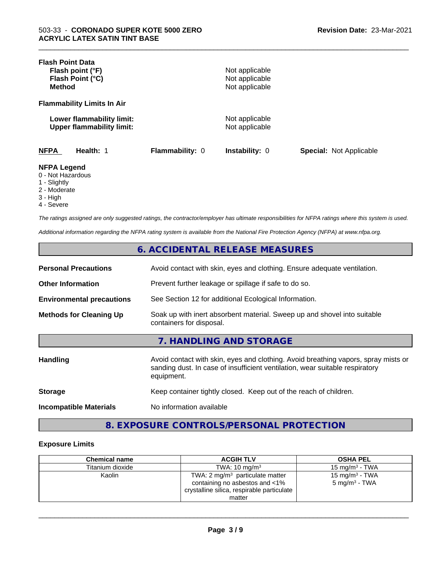| <b>Flash Point Data</b>                                       |                 |                                  |                                |
|---------------------------------------------------------------|-----------------|----------------------------------|--------------------------------|
| Flash point (°F)                                              |                 | Not applicable                   |                                |
| Flash Point (°C)                                              |                 | Not applicable                   |                                |
| <b>Method</b>                                                 |                 | Not applicable                   |                                |
| <b>Flammability Limits In Air</b>                             |                 |                                  |                                |
| Lower flammability limit:<br><b>Upper flammability limit:</b> |                 | Not applicable<br>Not applicable |                                |
| <b>NFPA</b><br>Health: 1                                      | Flammability: 0 | Instability: 0                   | <b>Special: Not Applicable</b> |
| <b>NFPA Legend</b><br>0 - Not Hazardous<br>1 - Slightly       |                 |                                  |                                |
| 2 - Moderate                                                  |                 |                                  |                                |

\_\_\_\_\_\_\_\_\_\_\_\_\_\_\_\_\_\_\_\_\_\_\_\_\_\_\_\_\_\_\_\_\_\_\_\_\_\_\_\_\_\_\_\_\_\_\_\_\_\_\_\_\_\_\_\_\_\_\_\_\_\_\_\_\_\_\_\_\_\_\_\_\_\_\_\_\_\_\_\_\_\_\_\_\_\_\_\_\_\_\_\_\_

- 
- 3 High
- 4 Severe

*The ratings assigned are only suggested ratings, the contractor/employer has ultimate responsibilities for NFPA ratings where this system is used.*

*Additional information regarding the NFPA rating system is available from the National Fire Protection Agency (NFPA) at www.nfpa.org.*

# **6. ACCIDENTAL RELEASE MEASURES**

| <b>Personal Precautions</b>      | Avoid contact with skin, eyes and clothing. Ensure adequate ventilation.                             |
|----------------------------------|------------------------------------------------------------------------------------------------------|
| <b>Other Information</b>         | Prevent further leakage or spillage if safe to do so.                                                |
| <b>Environmental precautions</b> | See Section 12 for additional Ecological Information.                                                |
| <b>Methods for Cleaning Up</b>   | Soak up with inert absorbent material. Sweep up and shovel into suitable<br>containers for disposal. |

# **7. HANDLING AND STORAGE**

| <b>Handling</b>               | Avoid contact with skin, eyes and clothing. Avoid breathing vapors, spray mists or<br>sanding dust. In case of insufficient ventilation, wear suitable respiratory<br>equipment. |
|-------------------------------|----------------------------------------------------------------------------------------------------------------------------------------------------------------------------------|
| <b>Storage</b>                | Keep container tightly closed. Keep out of the reach of children.                                                                                                                |
| <b>Incompatible Materials</b> | No information available                                                                                                                                                         |

# **8. EXPOSURE CONTROLS/PERSONAL PROTECTION**

#### **Exposure Limits**

| <b>Chemical name</b> | <b>ACGIH TLV</b>                                                                                                  | <b>OSHA PEL</b>                               |
|----------------------|-------------------------------------------------------------------------------------------------------------------|-----------------------------------------------|
| Titanium dioxide     | TWA: $10 \text{ ma/m}^3$                                                                                          | $15 \text{ mg/m}^3$ - TWA                     |
| Kaolin               | TWA: 2 $mg/m3$ particulate matter<br>containing no asbestos and <1%<br>crystalline silica, respirable particulate | 15 mg/m $3$ - TWA<br>$5 \text{ mg/m}^3$ - TWA |
|                      | matter                                                                                                            |                                               |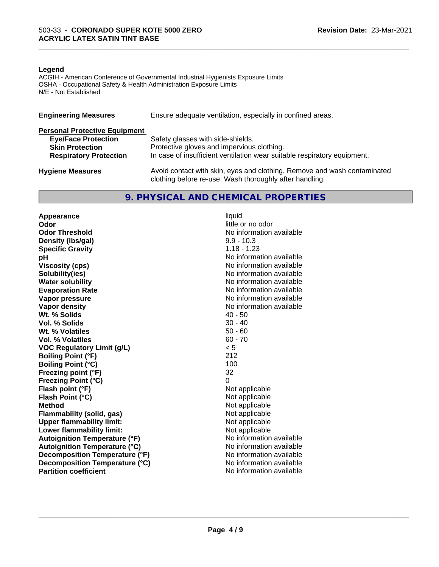#### **Legend**

ACGIH - American Conference of Governmental Industrial Hygienists Exposure Limits OSHA - Occupational Safety & Health Administration Exposure Limits N/E - Not Established

| <b>Engineering Measures</b>          | Ensure adequate ventilation, especially in confined areas.                                                                          |  |  |
|--------------------------------------|-------------------------------------------------------------------------------------------------------------------------------------|--|--|
| <b>Personal Protective Equipment</b> |                                                                                                                                     |  |  |
| <b>Eye/Face Protection</b>           | Safety glasses with side-shields.                                                                                                   |  |  |
| <b>Skin Protection</b>               | Protective gloves and impervious clothing.                                                                                          |  |  |
| <b>Respiratory Protection</b>        | In case of insufficient ventilation wear suitable respiratory equipment.                                                            |  |  |
| <b>Hygiene Measures</b>              | Avoid contact with skin, eyes and clothing. Remove and wash contaminated<br>clothing before re-use. Wash thoroughly after handling. |  |  |

# **9. PHYSICAL AND CHEMICAL PROPERTIES**

**Appearance** liquid<br> **Appearance** liquid<br> **Odor Odor Threshold No information available No information available Density (Ibs/gal)** 9.9 - 10.3<br> **Specific Gravity** 1.18 - 1.23 **Specific Gravity**<br>pH **Viscosity (cps)** No information available **Solubility(ies)** No information available **Water solubility** No information available **Evaporation Rate No information available No information available Vapor pressure** No information available **No information** available **Vapor density**<br> **We Solids**<br>
We Solid Wi, % Solids
2019 Wt. % Solids **Vol. % Solids** 30 - 40 **Wt. % Volatiles** 50 - 60<br> **Vol. % Volatiles** 60 - 70 **Vol. % Volatiles VOC Regulatory Limit (g/L)** < 5 **Boiling Point (°F)** 212 **Boiling Point (°C)** 100 **Freezing point (°F)** 32 **Freezing Point (°C)** 0 **Flash point (°F)** Not applicable **Flash Point (°C)** Not applicable **Method**<br> **Flammability (solid, gas)**<br> **Commability (solid, gas)**<br> **Not** applicable **Flammability** (solid, gas) **Upper flammability limit:**<br> **Lower flammability limit:** Not applicable Not applicable **Lower flammability limit:**<br> **Autoignition Temperature (°F)** Not applicable available and the Mustafable and Mustafable and Mustafable and Mu **Autoignition Temperature (°F) Autoignition Temperature (°C)** No information available **Decomposition Temperature (°F)** No information available **Decomposition Temperature (°C)** No information available **Partition coefficient** and the settlement of the settlement of the No information available

little or no odor **No information available** 

\_\_\_\_\_\_\_\_\_\_\_\_\_\_\_\_\_\_\_\_\_\_\_\_\_\_\_\_\_\_\_\_\_\_\_\_\_\_\_\_\_\_\_\_\_\_\_\_\_\_\_\_\_\_\_\_\_\_\_\_\_\_\_\_\_\_\_\_\_\_\_\_\_\_\_\_\_\_\_\_\_\_\_\_\_\_\_\_\_\_\_\_\_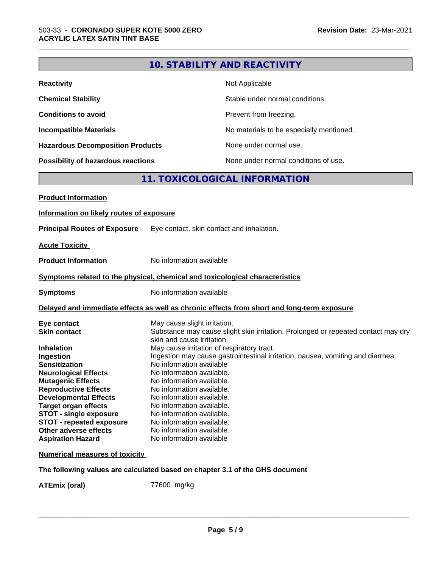|                                                                                                                                                                                                                 |                                                                                                                                                                           | <b>10. STABILITY AND REACTIVITY</b>                                                                                           |
|-----------------------------------------------------------------------------------------------------------------------------------------------------------------------------------------------------------------|---------------------------------------------------------------------------------------------------------------------------------------------------------------------------|-------------------------------------------------------------------------------------------------------------------------------|
| <b>Reactivity</b>                                                                                                                                                                                               |                                                                                                                                                                           | Not Applicable                                                                                                                |
| <b>Chemical Stability</b>                                                                                                                                                                                       |                                                                                                                                                                           | Stable under normal conditions.                                                                                               |
| <b>Conditions to avoid</b>                                                                                                                                                                                      |                                                                                                                                                                           | Prevent from freezing.                                                                                                        |
| <b>Incompatible Materials</b>                                                                                                                                                                                   |                                                                                                                                                                           | No materials to be especially mentioned.                                                                                      |
| <b>Hazardous Decomposition Products</b>                                                                                                                                                                         |                                                                                                                                                                           | None under normal use.                                                                                                        |
| Possibility of hazardous reactions                                                                                                                                                                              |                                                                                                                                                                           | None under normal conditions of use.                                                                                          |
|                                                                                                                                                                                                                 |                                                                                                                                                                           | 11. TOXICOLOGICAL INFORMATION                                                                                                 |
| <b>Product Information</b>                                                                                                                                                                                      |                                                                                                                                                                           |                                                                                                                               |
| Information on likely routes of exposure                                                                                                                                                                        |                                                                                                                                                                           |                                                                                                                               |
| <b>Principal Routes of Exposure</b>                                                                                                                                                                             |                                                                                                                                                                           | Eye contact, skin contact and inhalation.                                                                                     |
| <b>Acute Toxicity</b>                                                                                                                                                                                           |                                                                                                                                                                           |                                                                                                                               |
|                                                                                                                                                                                                                 |                                                                                                                                                                           |                                                                                                                               |
| <b>Product Information</b>                                                                                                                                                                                      | No information available                                                                                                                                                  |                                                                                                                               |
| Symptoms related to the physical, chemical and toxicological characteristics                                                                                                                                    |                                                                                                                                                                           |                                                                                                                               |
| <b>Symptoms</b>                                                                                                                                                                                                 | No information available                                                                                                                                                  |                                                                                                                               |
|                                                                                                                                                                                                                 |                                                                                                                                                                           | Delayed and immediate effects as well as chronic effects from short and long-term exposure                                    |
| Eye contact<br><b>Skin contact</b>                                                                                                                                                                              | May cause slight irritation.<br>skin and cause irritation.                                                                                                                | Substance may cause slight skin irritation. Prolonged or repeated contact may dry                                             |
| <b>Inhalation</b><br>Ingestion<br><b>Sensitization</b><br><b>Neurological Effects</b><br><b>Mutagenic Effects</b><br><b>Reproductive Effects</b><br><b>Developmental Effects</b><br><b>Target organ effects</b> | No information available<br>No information available.<br>No information available.<br>No information available.<br>No information available.<br>No information available. | May cause irritation of respiratory tract.<br>Ingestion may cause gastrointestinal irritation, nausea, vomiting and diarrhea. |
| <b>STOT - single exposure</b><br><b>STOT - repeated exposure</b><br>Other adverse effects<br><b>Aspiration Hazard</b>                                                                                           | No information available.<br>No information available.<br>No information available.<br>No information available                                                           |                                                                                                                               |
| <b>Numerical measures of toxicity</b>                                                                                                                                                                           |                                                                                                                                                                           |                                                                                                                               |
|                                                                                                                                                                                                                 |                                                                                                                                                                           | The following values are calculated based on chapter 3.1 of the GHS document                                                  |

**ATEmix (oral)** 77600 mg/kg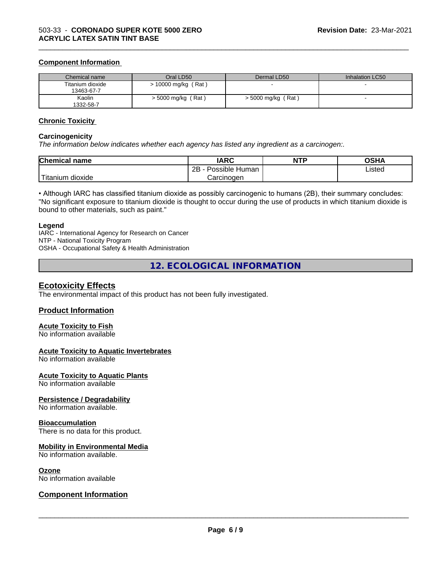#### **Component Information**

| Chemical name                  | Oral LD50            | Dermal LD50          | Inhalation LC50 |
|--------------------------------|----------------------|----------------------|-----------------|
| Titanium dioxide<br>13463-67-7 | > 10000 mg/kg (Rat)  |                      |                 |
| Kaolin<br>1332-58-7            | $>$ 5000 mg/kg (Rat) | $>$ 5000 mg/kg (Rat) |                 |

\_\_\_\_\_\_\_\_\_\_\_\_\_\_\_\_\_\_\_\_\_\_\_\_\_\_\_\_\_\_\_\_\_\_\_\_\_\_\_\_\_\_\_\_\_\_\_\_\_\_\_\_\_\_\_\_\_\_\_\_\_\_\_\_\_\_\_\_\_\_\_\_\_\_\_\_\_\_\_\_\_\_\_\_\_\_\_\_\_\_\_\_\_

#### **Chronic Toxicity**

#### **Carcinogenicity**

*The information below indicateswhether each agency has listed any ingredient as a carcinogen:.*

| <b>Chemical name</b>  | <b>IARC</b>               | <b>NTP</b> | <b>OSHA</b> |
|-----------------------|---------------------------|------------|-------------|
|                       | .<br>2B<br>Possible Human |            | Listed      |
| n dioxide<br>Titanium | Carcinogen                |            |             |

• Although IARC has classified titanium dioxide as possibly carcinogenic to humans (2B), their summary concludes: "No significant exposure to titanium dioxide is thought to occur during the use of products in which titanium dioxide is bound to other materials, such as paint."

#### **Legend**

IARC - International Agency for Research on Cancer NTP - National Toxicity Program OSHA - Occupational Safety & Health Administration

**12. ECOLOGICAL INFORMATION**

### **Ecotoxicity Effects**

The environmental impact of this product has not been fully investigated.

#### **Product Information**

#### **Acute Toxicity to Fish**

No information available

#### **Acute Toxicity to Aquatic Invertebrates**

No information available

#### **Acute Toxicity to Aquatic Plants**

No information available

#### **Persistence / Degradability**

No information available.

#### **Bioaccumulation**

There is no data for this product.

#### **Mobility in Environmental Media**

No information available.

#### **Ozone**

No information available

### **Component Information**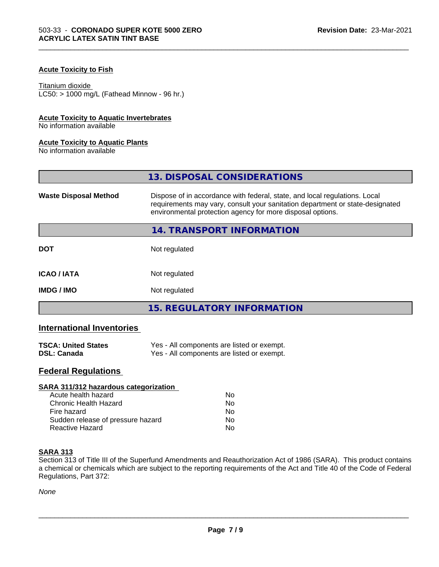### **Acute Toxicity to Fish**

#### Titanium dioxide

 $LC50:$  > 1000 mg/L (Fathead Minnow - 96 hr.)

#### **Acute Toxicity to Aquatic Invertebrates**

No information available

#### **Acute Toxicity to Aquatic Plants**

No information available

|                              | 13. DISPOSAL CONSIDERATIONS                                                                                                                                                                                               |
|------------------------------|---------------------------------------------------------------------------------------------------------------------------------------------------------------------------------------------------------------------------|
| <b>Waste Disposal Method</b> | Dispose of in accordance with federal, state, and local regulations. Local<br>requirements may vary, consult your sanitation department or state-designated<br>environmental protection agency for more disposal options. |
|                              | 14. TRANSPORT INFORMATION                                                                                                                                                                                                 |
| <b>DOT</b>                   | Not regulated                                                                                                                                                                                                             |
| <b>ICAO/IATA</b>             | Not regulated                                                                                                                                                                                                             |
| <b>IMDG / IMO</b>            | Not regulated                                                                                                                                                                                                             |
|                              | <b>15. REGULATORY INFORMATION</b>                                                                                                                                                                                         |

\_\_\_\_\_\_\_\_\_\_\_\_\_\_\_\_\_\_\_\_\_\_\_\_\_\_\_\_\_\_\_\_\_\_\_\_\_\_\_\_\_\_\_\_\_\_\_\_\_\_\_\_\_\_\_\_\_\_\_\_\_\_\_\_\_\_\_\_\_\_\_\_\_\_\_\_\_\_\_\_\_\_\_\_\_\_\_\_\_\_\_\_\_

# **International Inventories**

| <b>TSCA: United States</b> | Yes - All components are listed or exempt. |
|----------------------------|--------------------------------------------|
| <b>DSL: Canada</b>         | Yes - All components are listed or exempt. |

# **Federal Regulations**

| SARA 311/312 hazardous categorization |    |  |
|---------------------------------------|----|--|
| Acute health hazard                   | Nο |  |
| Chronic Health Hazard                 | No |  |
| Fire hazard                           | Nο |  |
| Sudden release of pressure hazard     | No |  |
| Reactive Hazard                       | No |  |

#### **SARA 313**

Section 313 of Title III of the Superfund Amendments and Reauthorization Act of 1986 (SARA). This product contains a chemical or chemicals which are subject to the reporting requirements of the Act and Title 40 of the Code of Federal Regulations, Part 372:

*None*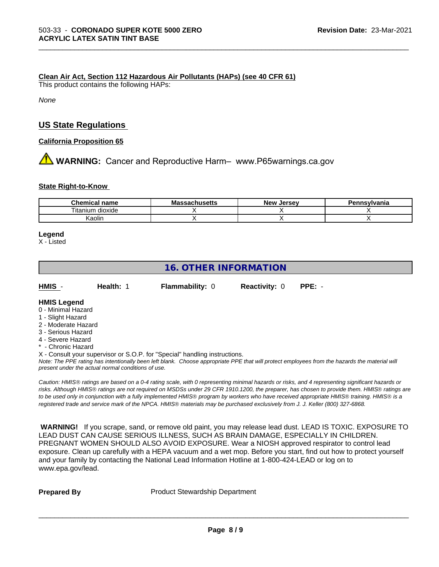#### **Clean Air Act,Section 112 Hazardous Air Pollutants (HAPs) (see 40 CFR 61)**

This product contains the following HAPs:

*None*

## **US State Regulations**

**California Proposition 65**

**AVIMARNING:** Cancer and Reproductive Harm– www.P65warnings.ca.gov

#### **State Right-to-Know**

| <b>Chemical name</b>           | - -<br>IVIA<br>saunuscus | <b>Jerse</b> v<br><b>Nev</b> | าทรงIvania |
|--------------------------------|--------------------------|------------------------------|------------|
| <br>--<br>ı itanıum<br>dioxide |                          |                              |            |
| Kaolin                         |                          |                              |            |

\_\_\_\_\_\_\_\_\_\_\_\_\_\_\_\_\_\_\_\_\_\_\_\_\_\_\_\_\_\_\_\_\_\_\_\_\_\_\_\_\_\_\_\_\_\_\_\_\_\_\_\_\_\_\_\_\_\_\_\_\_\_\_\_\_\_\_\_\_\_\_\_\_\_\_\_\_\_\_\_\_\_\_\_\_\_\_\_\_\_\_\_\_

#### **Legend**

X - Listed

# **16. OTHER INFORMATION**

| HMIS | Health: 1 | <b>Flammability: 0</b> | <b>Reactivity: 0 PPE: -</b> |  |  |
|------|-----------|------------------------|-----------------------------|--|--|
|------|-----------|------------------------|-----------------------------|--|--|

#### **HMIS Legend**

- 0 Minimal Hazard
- 1 Slight Hazard
- 2 Moderate Hazard
- 3 Serious Hazard
- 4 Severe Hazard
- Chronic Hazard

X - Consult your supervisor or S.O.P. for "Special" handling instructions.

*Note: The PPE rating has intentionally been left blank. Choose appropriate PPE that will protect employees from the hazards the material will present under the actual normal conditions of use.*

*Caution: HMISÒ ratings are based on a 0-4 rating scale, with 0 representing minimal hazards or risks, and 4 representing significant hazards or risks. Although HMISÒ ratings are not required on MSDSs under 29 CFR 1910.1200, the preparer, has chosen to provide them. HMISÒ ratings are to be used only in conjunction with a fully implemented HMISÒ program by workers who have received appropriate HMISÒ training. HMISÒ is a registered trade and service mark of the NPCA. HMISÒ materials may be purchased exclusively from J. J. Keller (800) 327-6868.*

 **WARNING!** If you scrape, sand, or remove old paint, you may release lead dust. LEAD IS TOXIC. EXPOSURE TO LEAD DUST CAN CAUSE SERIOUS ILLNESS, SUCH AS BRAIN DAMAGE, ESPECIALLY IN CHILDREN. PREGNANT WOMEN SHOULD ALSO AVOID EXPOSURE.Wear a NIOSH approved respirator to control lead exposure. Clean up carefully with a HEPA vacuum and a wet mop. Before you start, find out how to protect yourself and your family by contacting the National Lead Information Hotline at 1-800-424-LEAD or log on to www.epa.gov/lead.

**Prepared By** Product Stewardship Department